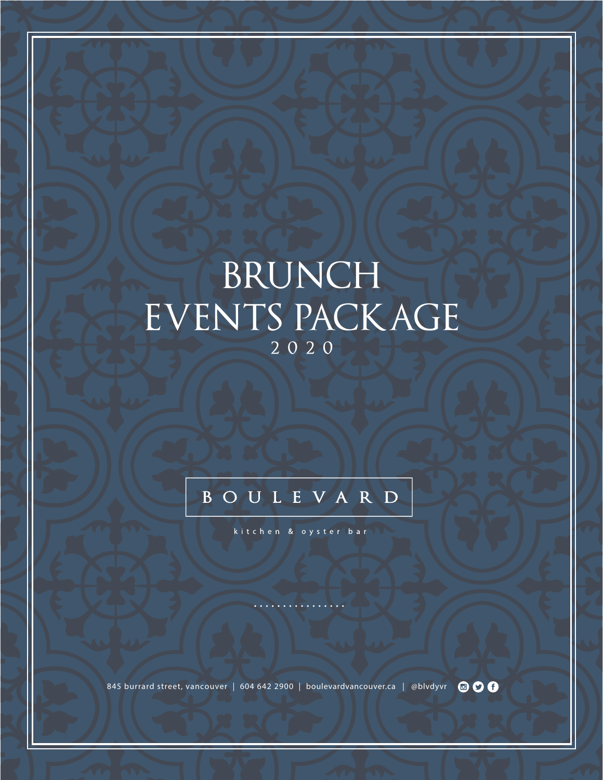# BRUNCH EVENTS PACKAGE 2 0 2 0

### BOULEVARD

kitchen & oyster bar

845 burrard street, vancouver | 604 642 2900 | boulevardvancouver.ca | @blvdyvr 0 0 0 0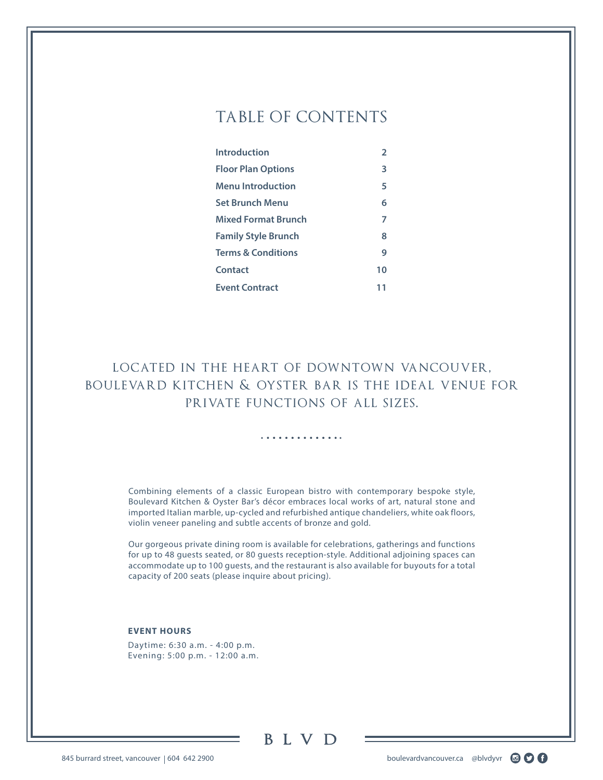### TABLE OF CONTENTS

| Introduction                  | $\overline{2}$ |
|-------------------------------|----------------|
| <b>Floor Plan Options</b>     | 3              |
| <b>Menu Introduction</b>      | 5              |
| <b>Set Brunch Menu</b>        | 6              |
| <b>Mixed Format Brunch</b>    | 7              |
| <b>Family Style Brunch</b>    | 8              |
| <b>Terms &amp; Conditions</b> | 9              |
| Contact                       | 10             |
| <b>Event Contract</b>         | 11             |

located in the heart of downtown vancouver, boulevard kitchen & oyster bar is the ideal venue for private functions of all sizes.

. . . . . . . . . . . .

Combining elements of a classic European bistro with contemporary bespoke style, Boulevard Kitchen & Oyster Bar's décor embraces local works of art, natural stone and imported Italian marble, up-cycled and refurbished antique chandeliers, white oak floors, violin veneer paneling and subtle accents of bronze and gold.

Our gorgeous private dining room is available for celebrations, gatherings and functions for up to 48 guests seated, or 80 guests reception-style. Additional adjoining spaces can accommodate up to 100 guests, and the restaurant is also available for buyouts for a total capacity of 200 seats (please inquire about pricing).

#### **EVENT HOURS**

Daytime: 6:30 a.m. - 4:00 p.m. Evening: 5:00 p.m. - 12:00 a.m.

**BLVD** 

845 burrard street, vancouver | 604 642 2900 boulevardvancouver.ca @blvdyvr a context of the street, vancouver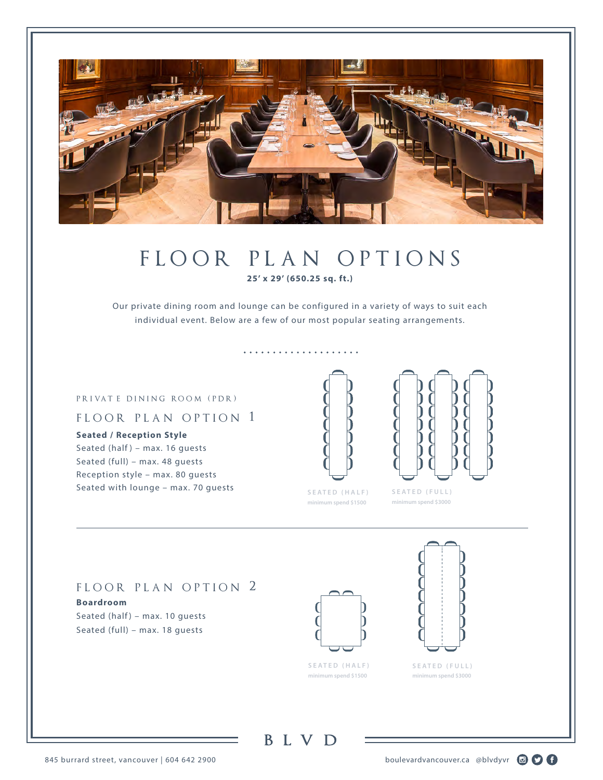

### floor plan options **25' x 29' (650.25 sq. ft.)**

Our private dining room and lounge can be configured in a variety of ways to suit each individual event. Below are a few of our most popular seating arrangements.

. . . . . . . . . . . . . . . . . . . .

#### PR I VAT E D I N I N G ROOM (PDR)

#### FLOOR PLAN OPTION 1

**Seated / Reception Style** Seated (half) - max. 16 guests Seated (full) – max. 48 guests Reception style – max. 80 guests Seated with lounge – max. 70 guests







**minimum spend \$3000**

#### FLOOR PLAN OPTION 2

**Boardroom** Seated (half) – max. 10 guests Seated (full) – max. 18 guests





**S E A T E D ( F U L L ) minimum spend \$3000**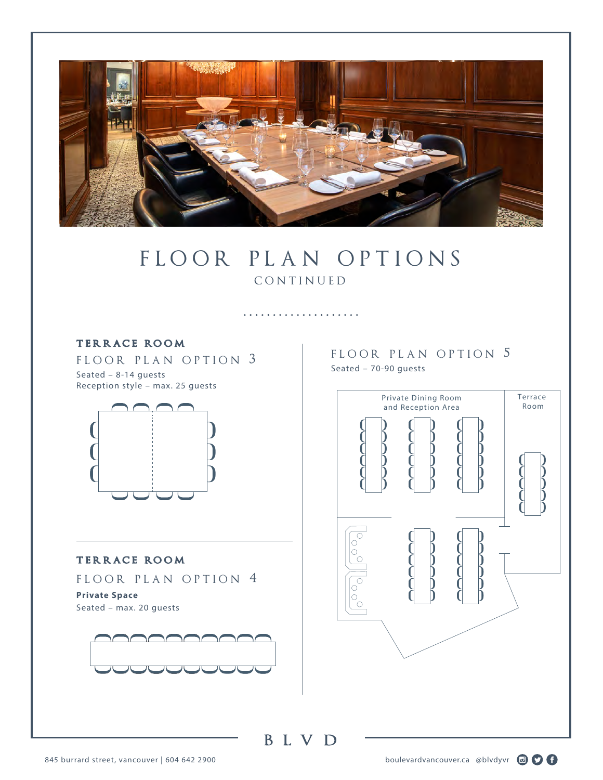

### FLOOR PLAN OPTIONS **CONTINUED**

. . . . . . . . . . . . . . . . . . . .

#### **ter race room**

FLOOR PLAN OPTION 3 Seated – 8-14 guests Reception style – max. 25 guests



#### **ter race room**

FLOOR PLAN OPTION 4

**Private Space** Seated – max. 20 guests



FLOOR PLAN OPTION 5 Seated – 70-90 guests

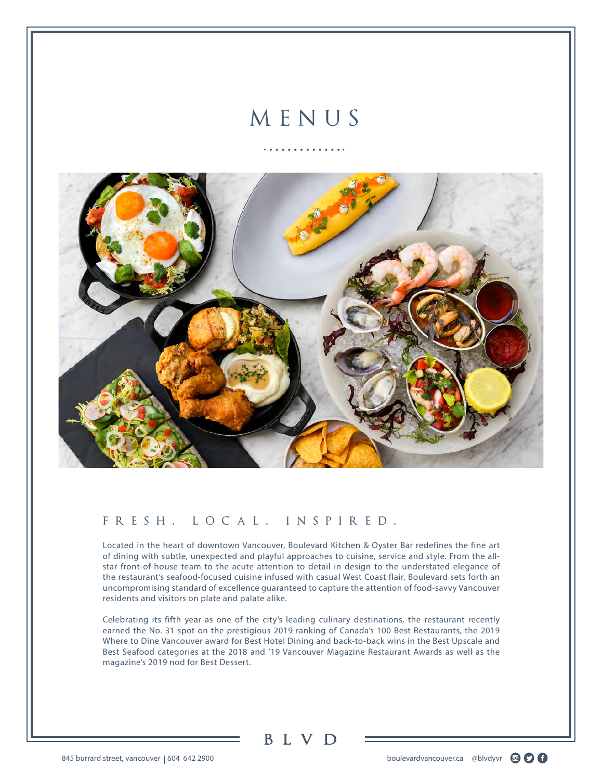## MENUS

. . . . . . . . . . . .



#### fresh. local. inspired.

Located in the heart of downtown Vancouver, Boulevard Kitchen & Oyster Bar redefines the fine art of dining with subtle, unexpected and playful approaches to cuisine, service and style. From the allstar front-of-house team to the acute attention to detail in design to the understated elegance of the restaurant's seafood-focused cuisine infused with casual West Coast flair, Boulevard sets forth an uncompromising standard of excellence guaranteed to capture the attention of food-savvy Vancouver residents and visitors on plate and palate alike.

Celebrating its fifth year as one of the city's leading culinary destinations, the restaurant recently earned the No. 31 spot on the prestigious 2019 ranking of Canada's 100 Best Restaurants, the 2019 Where to Dine Vancouver award for Best Hotel Dining and back-to-back wins in the Best Upscale and Best Seafood categories at the 2018 and '19 Vancouver Magazine Restaurant Awards as well as the magazine's 2019 nod for Best Dessert.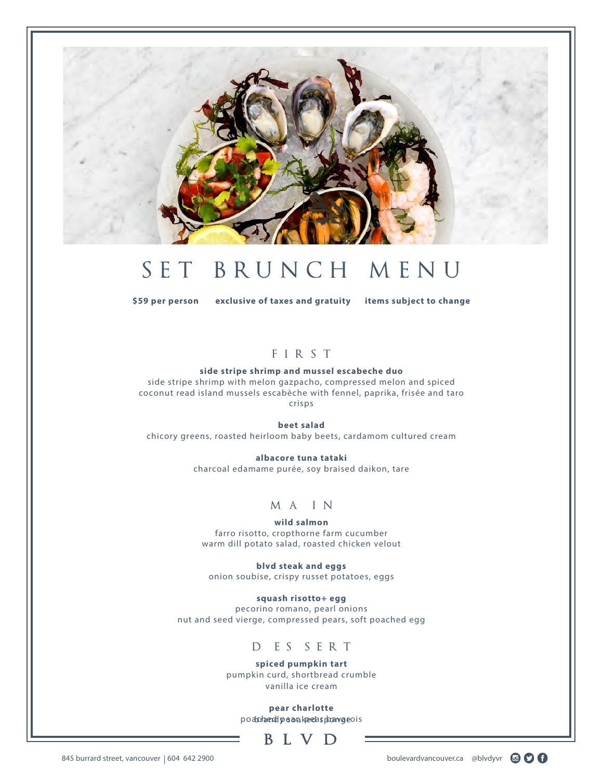

## SET BRUNCH MENU

**\$59 per person exclusive of taxes and gratuity items subject to change**

#### FIRST

#### **side stripe shrimp and mussel escabeche duo**

side stripe shrimp with melon gazpacho, compressed melon and spiced coconut read island mussels escabèche with fennel, paprika, frisée and taro crisps

**beet salad**

chicory greens, roasted heirloom baby beets, cardamom cultured cream

**albacore tuna tataki** charcoal edamame purée, soy braised daikon, tare

#### m a i n

**wild salmon** farro risotto, cropthorne farm cucumber warm dill potato salad, roasted chicken velout

**blvd steak and eggs** onion soubise, crispy russet potatoes, eggs

**squash risotto+ egg** pecorino romano, pearl onions nut and seed vierge, compressed pears, soft poached egg

#### D E S S E R T

**spiced pumpkin tart** pumpkin curd, shortbread crumble vanilla ice cream

**pear charlotte**  podach a end pear and keed spoan varios



845 burrard street, vancouver | 604 642 2900 boulevardvancouver.ca @blvdyvr a context of the street, vancouver

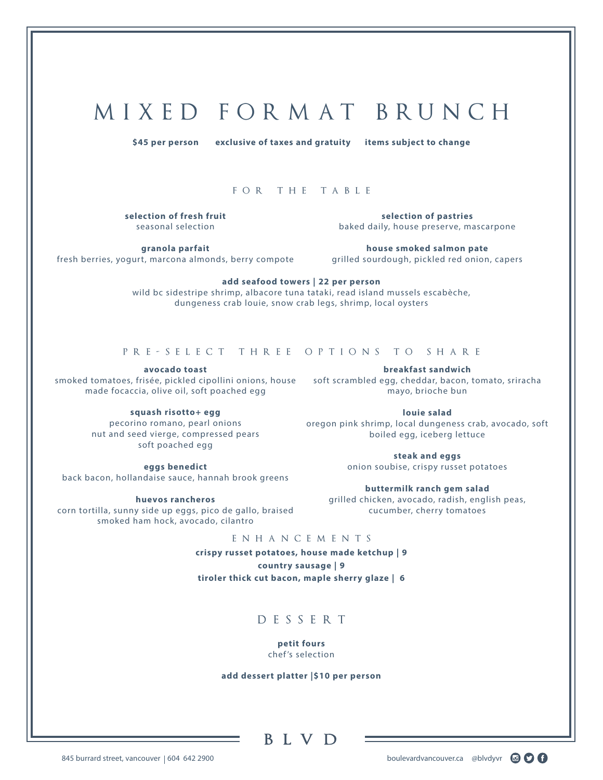## M I X E D F O R M AT B RU N C H

**\$45 per person exclusive of taxes and gratuity items subject to change**

#### for the table

**selection of fresh fruit** seasonal selection

**selection of pastries** baked daily, house preserve, mascarpone

**granola parfait** fresh berries, yogurt, marcona almonds, berry compote

**house smoked salmon pate** grilled sourdough, pickled red onion, capers

**add seafood towers | 22 per person**

wild bc sidestripe shrimp, albacore tuna tataki, read island mussels escabèche, dungeness crab louie, snow crab legs, shrimp, local oysters

#### pre-select three options to share

**avocado toast** smoked tomatoes, frisée, pickled cipollini onions, house soft scrambled egg, cheddar, bacon, tomato, sriracha made focaccia, olive oil, soft poached egg

**squash risotto+ egg**

pecorino romano, pearl onions nut and seed vierge, compressed pears soft poached egg

**eggs benedict** back bacon, hollandaise sauce, hannah brook greens

**huevos rancheros** corn tortilla, sunny side up eggs, pico de gallo, braised smoked ham hock, avocado, cilantro

**breakfast sandwich** mayo, brioche bun

**louie salad** oregon pink shrimp, local dungeness crab, avocado, soft boiled egg, iceberg lettuce

> **steak and eggs** onion soubise, crispy russet potatoes

**buttermilk ranch gem salad** grilled chicken, avocado, radish, english peas, cucumber, cherry tomatoes

#### enhancements

**crispy russet potatoes, house made ketchup | 9 country sausage | 9**

**tiroler thick cut bacon, maple sherry glaze | 6**

DESSERT

**petit fours** chef 's selection

**add dessert platter |\$10 per person**

#### **BLVD**

845 burrard street, vancouver | 604 642 2900 boulevardvancouver.ca @blvdyvr a context of the street, vancouver

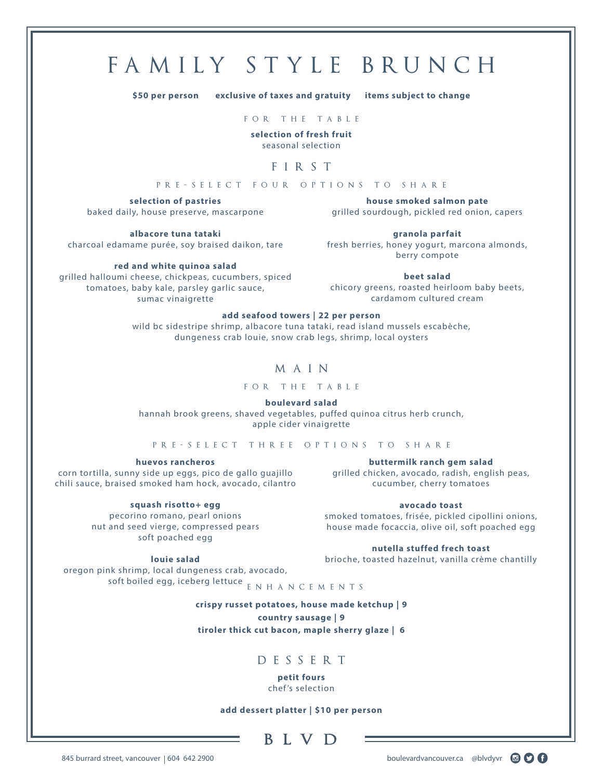## FAMILY STYLE BRUNCH

**\$50 per person exclusive of taxes and gratuity items subject to change**

for the table

**selection of fresh fruit** seasonal selection

#### FIRST

pre-select four options to share

**selection of pastries** baked daily, house preserve, mascarpone

**house smoked salmon pate** grilled sourdough, pickled red onion, capers

**albacore tuna tataki** charcoal edamame purée, soy braised daikon, tare

**red and white quinoa salad** grilled halloumi cheese, chickpeas, cucumbers, spiced tomatoes, baby kale, parsley garlic sauce, sumac vinaigrette

**granola parfait** fresh berries, honey yogurt, marcona almonds, berry compote

**beet salad** chicory greens, roasted heirloom baby beets, cardamom cultured cream

#### **add seafood towers | 22 per person**

wild bc sidestripe shrimp, albacore tuna tataki, read island mussels escabèche, dungeness crab louie, snow crab legs, shrimp, local oysters

#### MAIN

for the table

**boulevard salad**

hannah brook greens, shaved vegetables, puffed quinoa citrus herb crunch, apple cider vinaigrette

pre-select three options to share

**huevos rancheros**

corn tortilla, sunny side up eggs, pico de gallo guajillo chili sauce, braised smoked ham hock, avocado, cilantro

**buttermilk ranch gem salad** grilled chicken, avocado, radish, english peas, cucumber, cherry tomatoes

**squash risotto+ egg** pecorino romano, pearl onions nut and seed vierge, compressed pears soft poached egg

**avocado toast** smoked tomatoes, frisée, pickled cipollini onions, house made focaccia, olive oil, soft poached egg

**nutella stuffed frech toast** brioche, toasted hazelnut, vanilla crème chantilly

oregon pink shrimp, local dungeness crab, avocado, soft boiled egg, iceberg lettuce  $_{\rm E}$   $_{\rm N}$  H  $_{\rm A}$  N  $_{\rm C}$  E  $_{\rm M}$  E N T S

**crispy russet potatoes, house made ketchup | 9 country sausage | 9**

**tiroler thick cut bacon, maple sherry glaze | 6**

#### DESSERT

**petit fours** chef 's selection

**add dessert platter | \$10 per person**

**BLVD** 



**louie salad**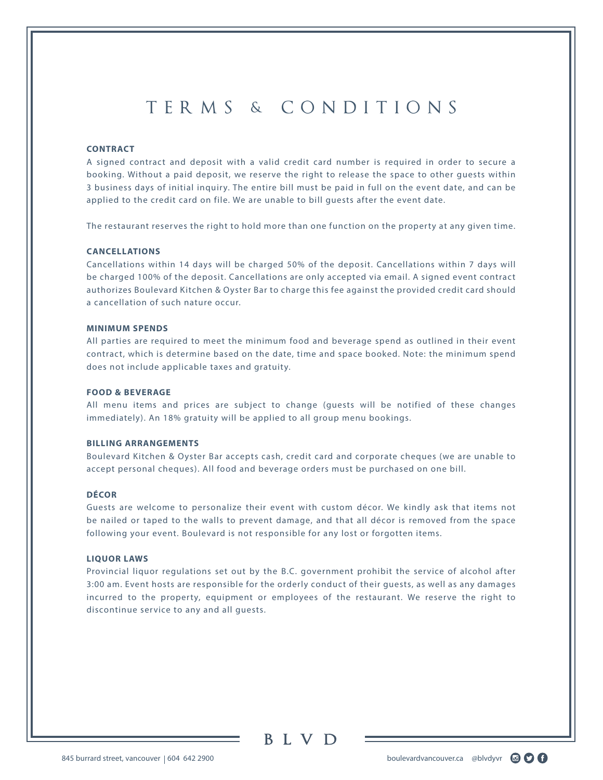### TERMS & CONDITIONS

#### **CONTRACT**

A signed contract and deposit with a valid credit card number is required in order to secure a booking. Without a paid deposit, we reserve the right to release the space to other guests within 3 business days of initial inquiry. The entire bill must be paid in full on the event date, and can be applied to the credit card on file. We are unable to bill guests after the event date.

The restaurant reserves the right to hold more than one function on the property at any given time.

#### **CANCELLATIONS**

Cancellations within 14 days will be charged 50% of the deposit. Cancellations within 7 days will be charged 100% of the deposit. Cancellations are only accepted via email. A signed event contract authorizes Boulevard Kitchen & Oyster Bar to charge this fee against the provided credit card should a cancellation of such nature occur.

#### **MINIMUM SPENDS**

All parties are required to meet the minimum food and beverage spend as outlined in their event contract, which is determine based on the date, time and space booked. Note: the minimum spend does not include applicable taxes and gratuity.

#### **FOOD & BEVERAGE**

All menu items and prices are subject to change (guests will be notified of these changes immediately). An 18% gratuity will be applied to all group menu bookings.

#### **BILLING ARRANGEMENTS**

Boulevard Kitchen & Oyster Bar accepts cash, credit card and corporate cheques (we are unable to accept personal cheques). All food and beverage orders must be purchased on one bill.

#### **DÉCOR**

Guests are welcome to personalize their event with custom décor. We kindly ask that items not be nailed or taped to the walls to prevent damage, and that all décor is removed from the space following your event. Boulevard is not responsible for any lost or forgotten items.

#### **LIQUOR LAWS**

Provincial liquor regulations set out by the B.C. government prohibit the service of alcohol after 3:00 am. Event hosts are responsible for the orderly conduct of their guests, as well as any damages incurred to the property, equipment or employees of the restaurant. We reserve the right to discontinue service to any and all guests.

B L V D

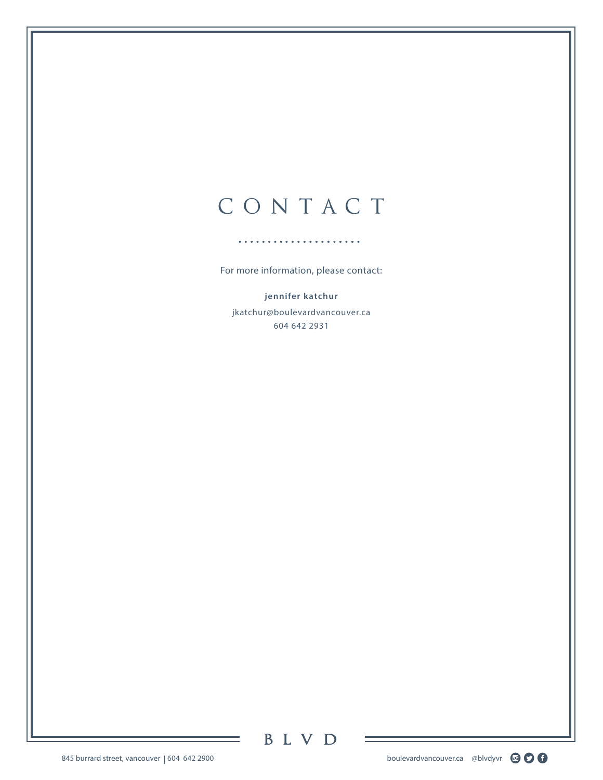## C O N TAC T

For more information, please contact:

**jennifer katchur** jkatchur@boulevardvancouver.ca 604 642 2931